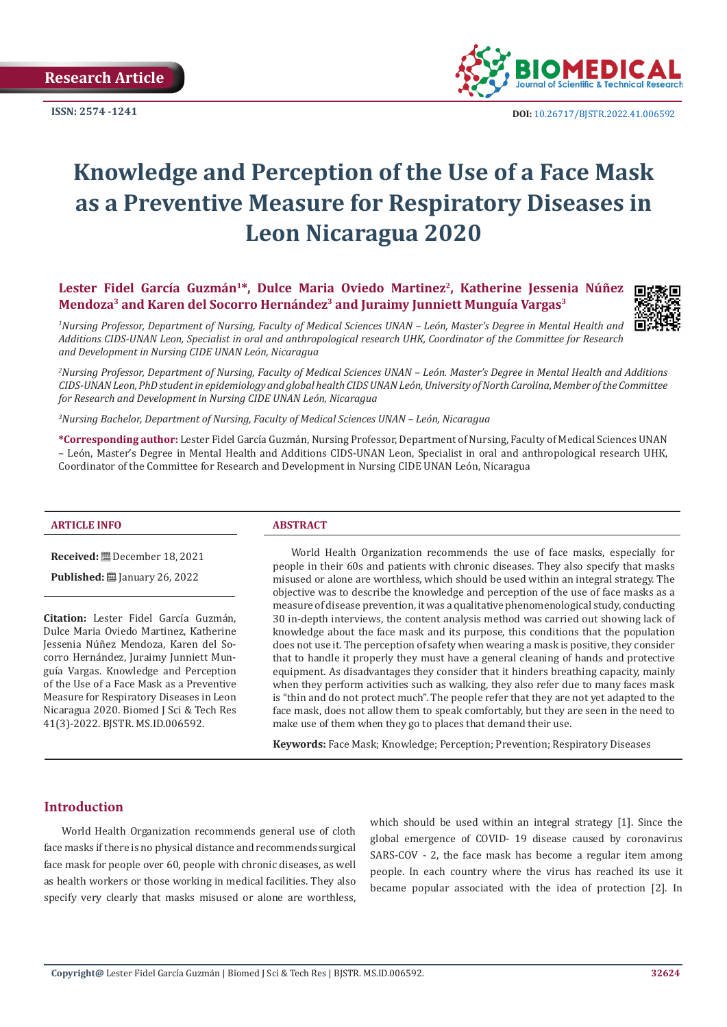**Research Article**



**ISSN: 2574 -1241 DOI:** [10.26717/BJSTR.2022.41.006592](https://dx.doi.org/10.26717/BJSTR.2022.41.006592)

# **Knowledge and Perception of the Use of a Face Mask as a Preventive Measure for Respiratory Diseases in Leon Nicaragua 2020**

Lester Fidel García Guzmán<sup>1\*</sup>, Dulce Maria Oviedo Martinez<sup>2</sup>, Katherine Jessenia Núñez **Mendoza3 and Karen del Socorro Hernández3 and Juraimy Junniett Munguía Vargas3**



*1 Nursing Professor, Department of Nursing, Faculty of Medical Sciences UNAN – León, Master's Degree in Mental Health and Additions CIDS-UNAN Leon, Specialist in oral and anthropological research UHK, Coordinator of the Committee for Research and Development in Nursing CIDE UNAN León, Nicaragua*

*2 Nursing Professor, Department of Nursing, Faculty of Medical Sciences UNAN – León. Master's Degree in Mental Health and Additions CIDS-UNAN Leon, PhD student in epidemiology and global health CIDS UNAN León, University of North Carolina, Member of the Committee for Research and Development in Nursing CIDE UNAN León, Nicaragua*

*3 Nursing Bachelor, Department of Nursing, Faculty of Medical Sciences UNAN – León, Nicaragua*

**\*Corresponding author:** Lester Fidel García Guzmán, Nursing Professor, Department of Nursing, Faculty of Medical Sciences UNAN – León, Master's Degree in Mental Health and Additions CIDS-UNAN Leon, Specialist in oral and anthropological research UHK, Coordinator of the Committee for Research and Development in Nursing CIDE UNAN León, Nicaragua

#### **ARTICLE INFO ABSTRACT**

**Received:** December 18, 2021

**Published:** <u>□</u> January 26, 2022

**Citation:** Lester Fidel García Guzmán, Dulce Maria Oviedo Martinez, Katherine Jessenia Núñez Mendoza, Karen del Socorro Hernández, Juraimy Junniett Munguía Vargas. Knowledge and Perception of the Use of a Face Mask as a Preventive Measure for Respiratory Diseases in Leon Nicaragua 2020. Biomed J Sci & Tech Res 41(3)-2022. BJSTR. MS.ID.006592.

World Health Organization recommends the use of face masks, especially for people in their 60s and patients with chronic diseases. They also specify that masks misused or alone are worthless, which should be used within an integral strategy. The objective was to describe the knowledge and perception of the use of face masks as a measure of disease prevention, it was a qualitative phenomenological study, conducting 30 in-depth interviews, the content analysis method was carried out showing lack of knowledge about the face mask and its purpose, this conditions that the population does not use it. The perception of safety when wearing a mask is positive, they consider that to handle it properly they must have a general cleaning of hands and protective equipment. As disadvantages they consider that it hinders breathing capacity, mainly when they perform activities such as walking, they also refer due to many faces mask is "thin and do not protect much". The people refer that they are not yet adapted to the face mask, does not allow them to speak comfortably, but they are seen in the need to make use of them when they go to places that demand their use.

**Keywords:** Face Mask; Knowledge; Perception; Prevention; Respiratory Diseases

# **Introduction**

World Health Organization recommends general use of cloth face masks if there is no physical distance and recommends surgical face mask for people over 60, people with chronic diseases, as well as health workers or those working in medical facilities. They also specify very clearly that masks misused or alone are worthless,

which should be used within an integral strategy [1]. Since the global emergence of COVID- 19 disease caused by coronavirus SARS-COV - 2, the face mask has become a regular item among people. In each country where the virus has reached its use it became popular associated with the idea of protection [2]. In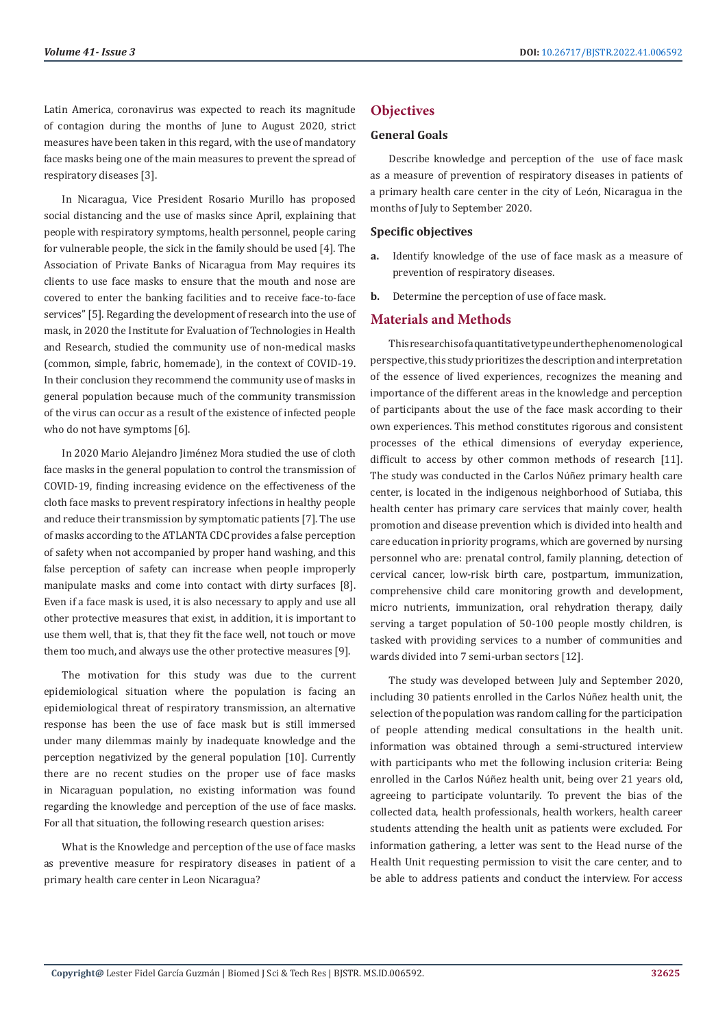Latin America, coronavirus was expected to reach its magnitude of contagion during the months of June to August 2020, strict measures have been taken in this regard, with the use of mandatory face masks being one of the main measures to prevent the spread of respiratory diseases [3].

In Nicaragua, Vice President Rosario Murillo has proposed social distancing and the use of masks since April, explaining that people with respiratory symptoms, health personnel, people caring for vulnerable people, the sick in the family should be used [4]. The Association of Private Banks of Nicaragua from May requires its clients to use face masks to ensure that the mouth and nose are covered to enter the banking facilities and to receive face-to-face services" [5]. Regarding the development of research into the use of mask, in 2020 the Institute for Evaluation of Technologies in Health and Research, studied the community use of non-medical masks (common, simple, fabric, homemade), in the context of COVID-19. In their conclusion they recommend the community use of masks in general population because much of the community transmission of the virus can occur as a result of the existence of infected people who do not have symptoms [6].

In 2020 Mario Alejandro Jiménez Mora studied the use of cloth face masks in the general population to control the transmission of COVID-19, finding increasing evidence on the effectiveness of the cloth face masks to prevent respiratory infections in healthy people and reduce their transmission by symptomatic patients [7]. The use of masks according to the ATLANTA CDC provides a false perception of safety when not accompanied by proper hand washing, and this false perception of safety can increase when people improperly manipulate masks and come into contact with dirty surfaces [8]. Even if a face mask is used, it is also necessary to apply and use all other protective measures that exist, in addition, it is important to use them well, that is, that they fit the face well, not touch or move them too much, and always use the other protective measures [9].

The motivation for this study was due to the current epidemiological situation where the population is facing an epidemiological threat of respiratory transmission, an alternative response has been the use of face mask but is still immersed under many dilemmas mainly by inadequate knowledge and the perception negativized by the general population [10]. Currently there are no recent studies on the proper use of face masks in Nicaraguan population, no existing information was found regarding the knowledge and perception of the use of face masks. For all that situation, the following research question arises:

What is the Knowledge and perception of the use of face masks as preventive measure for respiratory diseases in patient of a primary health care center in Leon Nicaragua?

## **Objectives**

#### **General Goals**

Describe knowledge and perception of the use of face mask as a measure of prevention of respiratory diseases in patients of a primary health care center in the city of León, Nicaragua in the months of July to September 2020.

#### **Specific objectives**

- **a.** Identify knowledge of the use of face mask as a measure of prevention of respiratory diseases.
- **b.** Determine the perception of use of face mask.

#### **Materials and Methods**

This research is of a quantitative type under the phenomenological perspective, this study prioritizes the description and interpretation of the essence of lived experiences, recognizes the meaning and importance of the different areas in the knowledge and perception of participants about the use of the face mask according to their own experiences. This method constitutes rigorous and consistent processes of the ethical dimensions of everyday experience, difficult to access by other common methods of research [11]. The study was conducted in the Carlos Núñez primary health care center, is located in the indigenous neighborhood of Sutiaba, this health center has primary care services that mainly cover, health promotion and disease prevention which is divided into health and care education in priority programs, which are governed by nursing personnel who are: prenatal control, family planning, detection of cervical cancer, low-risk birth care, postpartum, immunization, comprehensive child care monitoring growth and development, micro nutrients, immunization, oral rehydration therapy, daily serving a target population of 50-100 people mostly children, is tasked with providing services to a number of communities and wards divided into 7 semi-urban sectors [12].

The study was developed between July and September 2020. including 30 patients enrolled in the Carlos Núñez health unit, the selection of the population was random calling for the participation of people attending medical consultations in the health unit. information was obtained through a semi-structured interview with participants who met the following inclusion criteria: Being enrolled in the Carlos Núñez health unit, being over 21 years old, agreeing to participate voluntarily. To prevent the bias of the collected data, health professionals, health workers, health career students attending the health unit as patients were excluded. For information gathering, a letter was sent to the Head nurse of the Health Unit requesting permission to visit the care center, and to be able to address patients and conduct the interview. For access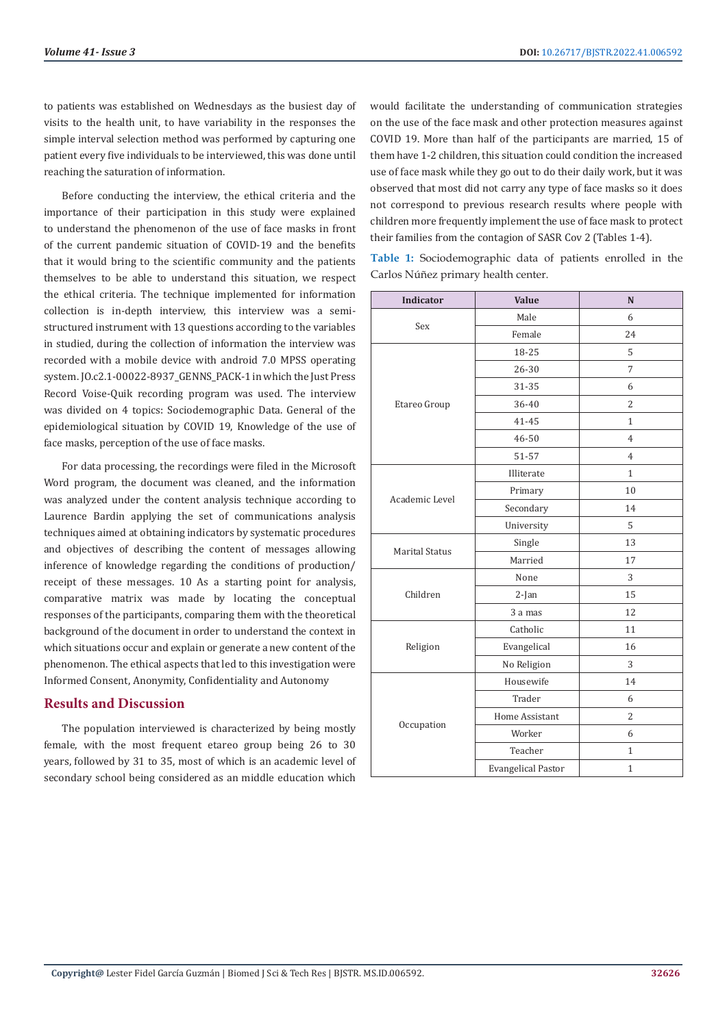to patients was established on Wednesdays as the busiest day of visits to the health unit, to have variability in the responses the simple interval selection method was performed by capturing one patient every five individuals to be interviewed, this was done until reaching the saturation of information.

Before conducting the interview, the ethical criteria and the importance of their participation in this study were explained to understand the phenomenon of the use of face masks in front of the current pandemic situation of COVID-19 and the benefits that it would bring to the scientific community and the patients themselves to be able to understand this situation, we respect the ethical criteria. The technique implemented for information collection is in-depth interview, this interview was a semistructured instrument with 13 questions according to the variables in studied, during the collection of information the interview was recorded with a mobile device with android 7.0 MPSS operating system. JO.c2.1-00022-8937\_GENNS\_PACK-1 in which the Just Press Record Voise-Quik recording program was used. The interview was divided on 4 topics: Sociodemographic Data. General of the epidemiological situation by COVID 19, Knowledge of the use of face masks, perception of the use of face masks.

For data processing, the recordings were filed in the Microsoft Word program, the document was cleaned, and the information was analyzed under the content analysis technique according to Laurence Bardin applying the set of communications analysis techniques aimed at obtaining indicators by systematic procedures and objectives of describing the content of messages allowing inference of knowledge regarding the conditions of production/ receipt of these messages. 10 As a starting point for analysis, comparative matrix was made by locating the conceptual responses of the participants, comparing them with the theoretical background of the document in order to understand the context in which situations occur and explain or generate a new content of the phenomenon. The ethical aspects that led to this investigation were Informed Consent, Anonymity, Confidentiality and Autonomy

## **Results and Discussion**

The population interviewed is characterized by being mostly female, with the most frequent etareo group being 26 to 30 years, followed by 31 to 35, most of which is an academic level of secondary school being considered as an middle education which

would facilitate the understanding of communication strategies on the use of the face mask and other protection measures against COVID 19. More than half of the participants are married, 15 of them have 1-2 children, this situation could condition the increased use of face mask while they go out to do their daily work, but it was observed that most did not carry any type of face masks so it does not correspond to previous research results where people with children more frequently implement the use of face mask to protect their families from the contagion of SASR Cov 2 (Tables 1-4).

**Table 1:** Sociodemographic data of patients enrolled in the Carlos Núñez primary health center.

| Indicator             | <b>Value</b>              | N              |
|-----------------------|---------------------------|----------------|
| Sex                   | Male                      | 6              |
|                       | Female                    | 24             |
| Etareo Group          | 18-25                     | 5              |
|                       | 26-30                     | 7              |
|                       | 31-35                     | 6              |
|                       | 36-40                     | $\overline{2}$ |
|                       | 41-45                     | $\mathbf{1}$   |
|                       | 46-50                     | 4              |
|                       | 51-57                     | $\overline{4}$ |
|                       | Illiterate                | $\mathbf{1}$   |
| Academic Level        | Primary                   | 10             |
|                       | Secondary                 | 14             |
|                       | University                | 5              |
| <b>Marital Status</b> | Single                    | 13             |
|                       | Married                   | 17             |
|                       | None                      | 3              |
| Children              | 2-Jan                     | 15             |
|                       | 3 a mas                   | 12             |
| Religion              | Catholic                  | 11             |
|                       | Evangelical               | 16             |
|                       | No Religion               | 3              |
| Occupation            | Housewife                 | 14             |
|                       | Trader                    | 6              |
|                       | Home Assistant            | $\overline{c}$ |
|                       | Worker                    | 6              |
|                       | Teacher                   | $\mathbf{1}$   |
|                       | <b>Evangelical Pastor</b> | $\mathbf{1}$   |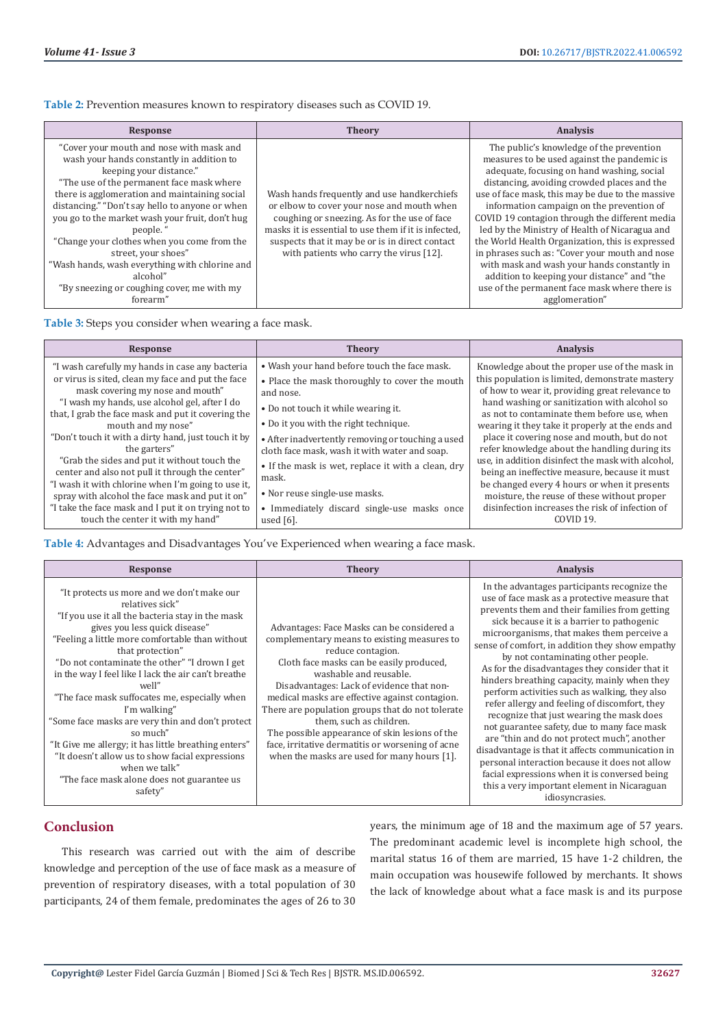**Table 2:** Prevention measures known to respiratory diseases such as COVID 19.

| Response                                                                                                                                                                                                                                                                                                                                                                                                                                                                                                                       | <b>Theory</b>                                                                                                                                                                                                                                                                                   | <b>Analysis</b>                                                                                                                                                                                                                                                                                                                                                                                                                                                                                                                                                                                                                                                  |
|--------------------------------------------------------------------------------------------------------------------------------------------------------------------------------------------------------------------------------------------------------------------------------------------------------------------------------------------------------------------------------------------------------------------------------------------------------------------------------------------------------------------------------|-------------------------------------------------------------------------------------------------------------------------------------------------------------------------------------------------------------------------------------------------------------------------------------------------|------------------------------------------------------------------------------------------------------------------------------------------------------------------------------------------------------------------------------------------------------------------------------------------------------------------------------------------------------------------------------------------------------------------------------------------------------------------------------------------------------------------------------------------------------------------------------------------------------------------------------------------------------------------|
| "Cover your mouth and nose with mask and<br>wash your hands constantly in addition to<br>keeping your distance."<br>"The use of the permanent face mask where<br>there is agglomeration and maintaining social<br>distancing." "Don't say hello to anyone or when<br>you go to the market wash your fruit, don't hug<br>people."<br>"Change your clothes when you come from the<br>street, your shoes"<br>"Wash hands, wash everything with chlorine and<br>alcohol"<br>"By sneezing or coughing cover, me with my<br>forearm" | Wash hands frequently and use handkerchiefs<br>or elbow to cover your nose and mouth when<br>coughing or sneezing. As for the use of face<br>masks it is essential to use them if it is infected.<br>suspects that it may be or is in direct contact<br>with patients who carry the virus [12]. | The public's knowledge of the prevention<br>measures to be used against the pandemic is<br>adequate, focusing on hand washing, social<br>distancing, avoiding crowded places and the<br>use of face mask, this may be due to the massive<br>information campaign on the prevention of<br>COVID 19 contagion through the different media<br>led by the Ministry of Health of Nicaragua and<br>the World Health Organization, this is expressed<br>in phrases such as: "Cover your mouth and nose<br>with mask and wash your hands constantly in<br>addition to keeping your distance" and "the<br>use of the permanent face mask where there is<br>agglomeration" |

**Table 3:** Steps you consider when wearing a face mask.

| Response                                                                                                                                                                                                                                                                                                                                                                                                                                                                                                                                                                                                                                             | <b>Theory</b>                                                                                                                                                                                                                                                                                                                                                                                                                                                    | <b>Analysis</b>                                                                                                                                                                                                                                                                                                                                                                                                                                                                                                                                                                                                                                                                          |
|------------------------------------------------------------------------------------------------------------------------------------------------------------------------------------------------------------------------------------------------------------------------------------------------------------------------------------------------------------------------------------------------------------------------------------------------------------------------------------------------------------------------------------------------------------------------------------------------------------------------------------------------------|------------------------------------------------------------------------------------------------------------------------------------------------------------------------------------------------------------------------------------------------------------------------------------------------------------------------------------------------------------------------------------------------------------------------------------------------------------------|------------------------------------------------------------------------------------------------------------------------------------------------------------------------------------------------------------------------------------------------------------------------------------------------------------------------------------------------------------------------------------------------------------------------------------------------------------------------------------------------------------------------------------------------------------------------------------------------------------------------------------------------------------------------------------------|
| "I wash carefully my hands in case any bacteria<br>or virus is sited, clean my face and put the face<br>mask covering my nose and mouth"<br>"I wash my hands, use alcohol gel, after I do<br>that, I grab the face mask and put it covering the<br>mouth and my nose"<br>"Don't touch it with a dirty hand, just touch it by<br>the garters"<br>"Grab the sides and put it without touch the<br>center and also not pull it through the center"<br>"I wash it with chlorine when I'm going to use it,<br>spray with alcohol the face mask and put it on"<br>"I take the face mask and I put it on trying not to<br>touch the center it with my hand" | • Wash your hand before touch the face mask.<br>• Place the mask thoroughly to cover the mouth<br>and nose.<br>• Do not touch it while wearing it.<br>• Do it you with the right technique.<br>• After inadvertently removing or touching a used<br>cloth face mask, wash it with water and soap.<br>• If the mask is wet, replace it with a clean, dry<br>mask.<br>• Nor reuse single-use masks.<br>• Immediately discard single-use masks once<br>used $[6]$ . | Knowledge about the proper use of the mask in<br>this population is limited, demonstrate mastery<br>of how to wear it, providing great relevance to<br>hand washing or sanitization with alcohol so<br>as not to contaminate them before use, when<br>wearing it they take it properly at the ends and<br>place it covering nose and mouth, but do not<br>refer knowledge about the handling during its<br>use, in addition disinfect the mask with alcohol,<br>being an ineffective measure, because it must<br>be changed every 4 hours or when it presents<br>moisture, the reuse of these without proper<br>disinfection increases the risk of infection of<br>COVID <sub>19</sub> . |

**Table 4:** Advantages and Disadvantages You've Experienced when wearing a face mask.

| Response                                                                                                                                                                                                                                                                                                                                                                                                                                                                                                                                                                                                                                                         | <b>Theory</b>                                                                                                                                                                                                                                                                                                                                                                                                                                                                                                           | <b>Analysis</b>                                                                                                                                                                                                                                                                                                                                                                                                                                                                                                                                                                                                                                                                                                                                                                                                                                                                                             |
|------------------------------------------------------------------------------------------------------------------------------------------------------------------------------------------------------------------------------------------------------------------------------------------------------------------------------------------------------------------------------------------------------------------------------------------------------------------------------------------------------------------------------------------------------------------------------------------------------------------------------------------------------------------|-------------------------------------------------------------------------------------------------------------------------------------------------------------------------------------------------------------------------------------------------------------------------------------------------------------------------------------------------------------------------------------------------------------------------------------------------------------------------------------------------------------------------|-------------------------------------------------------------------------------------------------------------------------------------------------------------------------------------------------------------------------------------------------------------------------------------------------------------------------------------------------------------------------------------------------------------------------------------------------------------------------------------------------------------------------------------------------------------------------------------------------------------------------------------------------------------------------------------------------------------------------------------------------------------------------------------------------------------------------------------------------------------------------------------------------------------|
| "It protects us more and we don't make our<br>relatives sick"<br>"If you use it all the bacteria stay in the mask<br>gives you less quick disease"<br>"Feeling a little more comfortable than without<br>that protection"<br>"Do not contaminate the other" "I drown I get<br>in the way I feel like I lack the air can't breathe<br>well"<br>"The face mask suffocates me, especially when<br>I'm walking"<br>"Some face masks are very thin and don't protect<br>so much"<br>"It Give me allergy; it has little breathing enters"<br>"It doesn't allow us to show facial expressions<br>when we talk"<br>"The face mask alone does not guarantee us<br>safety" | Advantages: Face Masks can be considered a<br>complementary means to existing measures to<br>reduce contagion.<br>Cloth face masks can be easily produced.<br>washable and reusable.<br>Disadvantages: Lack of evidence that non-<br>medical masks are effective against contagion.<br>There are population groups that do not tolerate<br>them, such as children.<br>The possible appearance of skin lesions of the<br>face, irritative dermatitis or worsening of acne<br>when the masks are used for many hours [1]. | In the advantages participants recognize the<br>use of face mask as a protective measure that<br>prevents them and their families from getting<br>sick because it is a barrier to pathogenic<br>microorganisms, that makes them perceive a<br>sense of comfort, in addition they show empathy<br>by not contaminating other people.<br>As for the disadvantages they consider that it<br>hinders breathing capacity, mainly when they<br>perform activities such as walking, they also<br>refer allergy and feeling of discomfort, they<br>recognize that just wearing the mask does<br>not guarantee safety, due to many face mask<br>are "thin and do not protect much", another<br>disadvantage is that it affects communication in<br>personal interaction because it does not allow<br>facial expressions when it is conversed being<br>this a very important element in Nicaraguan<br>idiosyncrasies. |

# **Conclusion**

This research was carried out with the aim of describe knowledge and perception of the use of face mask as a measure of prevention of respiratory diseases, with a total population of 30 participants, 24 of them female, predominates the ages of 26 to 30

years, the minimum age of 18 and the maximum age of 57 years. The predominant academic level is incomplete high school, the marital status 16 of them are married, 15 have 1-2 children, the main occupation was housewife followed by merchants. It shows the lack of knowledge about what a face mask is and its purpose